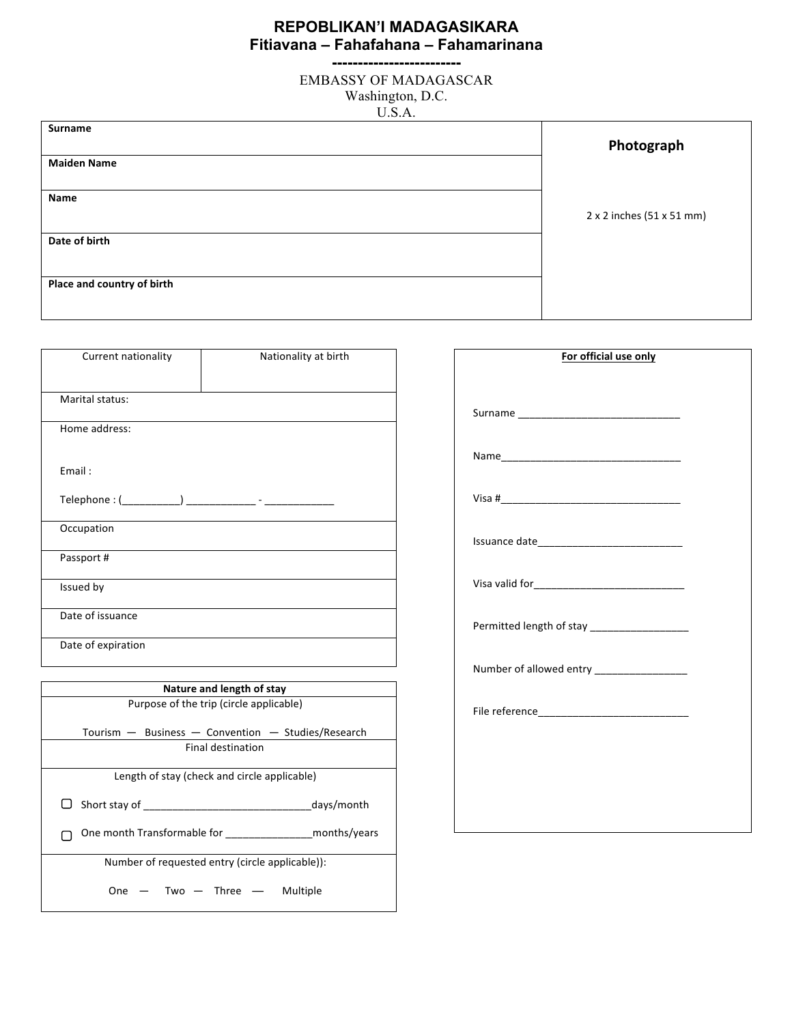## **REPOBLIKAN'I MADAGASIKARA Fitiavana – Fahafahana – Fahamarinana -------------------------**

EMBASSY OF MADAGASCAR Washington, D.C. U.S.A.

| $\sim$                     |                           |
|----------------------------|---------------------------|
| Surname                    | Photograph                |
| <b>Maiden Name</b>         |                           |
| Name                       | 2 x 2 inches (51 x 51 mm) |
| Date of birth              |                           |
| Place and country of birth |                           |

| Current nationality | Nationality at birth                                        |
|---------------------|-------------------------------------------------------------|
| Marital status:     |                                                             |
| Home address:       |                                                             |
|                     |                                                             |
| Email:              |                                                             |
|                     |                                                             |
| Occupation          |                                                             |
| Passport#           |                                                             |
| Issued by           |                                                             |
| Date of issuance    |                                                             |
| Date of expiration  |                                                             |
|                     | Nature and length of stay                                   |
|                     | Purpose of the trip (circle applicable)                     |
|                     | Tourism - Business - Convention - Studies/Research          |
|                     | <b>Final destination</b>                                    |
|                     | Length of stay (check and circle applicable)                |
|                     | days/month                                                  |
|                     | One month Transformable for ___________________months/years |
|                     | Number of requested entry (circle applicable)):             |
| One                 | Two $-$ Three $-$<br>Multiple                               |

| For official use only                         |  |
|-----------------------------------------------|--|
|                                               |  |
|                                               |  |
|                                               |  |
|                                               |  |
|                                               |  |
|                                               |  |
| Permitted length of stay ____________________ |  |
|                                               |  |
|                                               |  |
|                                               |  |
|                                               |  |
|                                               |  |